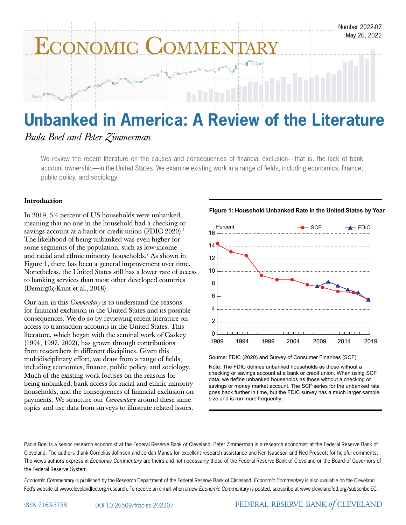

# *Paola Boel and Peter Zimmerman*

We review the recent literature on the causes and consequences of financial exclusion—that is, the lack of bank account ownership—in the United States. We examine existing work in a range of fields, including economics, finance, public policy, and sociology.

# Introduction

In 2019, 5.4 percent of US households were unbanked, meaning that no one in the household had a checking or savings account at a bank or credit union (FDIC 2020).<sup>1</sup> The likelihood of being unbanked was even higher for some segments of the population, such as low-income and racial and ethnic minority households.2 As shown in Figure 1, there has been a general improvement over time. Nonetheless, the United States still has a lower rate of access to banking services than most other developed countries (Demirgüç-Kunt et al., 2018).

Our aim in this *Commentary* is to understand the reasons for financial exclusion in the United States and its possible consequences. We do so by reviewing recent literature on access to transaction accounts in the United States. This literature, which began with the seminal work of Caskey (1994, 1997, 2002), has grown through contributions from researchers in different disciplines. Given this multidisciplinary effort, we draw from a range of fields, including economics, finance, public policy, and sociology. Much of the existing work focuses on the reasons for being unbanked, bank access for racial and ethnic minority households, and the consequences of financial exclusion on payments. We structure our *Commentary* around these same topics and use data from surveys to illustrate related issues.



**Figure 1: Household Unbanked Rate in the United States by Year**

Source: FDIC (2020) and Survey of Consumer Finances (SCF)

Note: The FDIC defines unbanked households as those without a checking or savings account at a bank or credit union. When using SCF data, we define unbanked households as those without a checking or savings or money market account. The SCF series for the unbanked rate goes back further in time, but the FDIC survey has a much larger sample size and is run more frequently.

1989 1994 1999 2004 2009 2014 2019

Paola Boel is a senior research economist at the Federal Reserve Bank of Cleveland. Peter Zimmerman is a research economist at the Federal Reserve Bank of Cleveland. The authors thank Cornelius Johnson and Jordan Manes for excellent research assistance and Ken Isaacson and Ned Prescott for helpful comments. The views authors express in *Economic Commentary* are theirs and not necessarily those of the Federal Reserve Bank of Cleveland or the Board of Governors of the Federal Reserve System

 $\Omega$ 

*Economic Commentary* is published by the Research Department of the Federal Reserve Bank of Cleveland. *Economic Commentary* is also available on the Cleveland Fed's website at www.clevelandfed.org/research. To receive an e-mail when a new Economic Commentary is posted, subscribe at www.clevelandfed.org/subscribe-EC.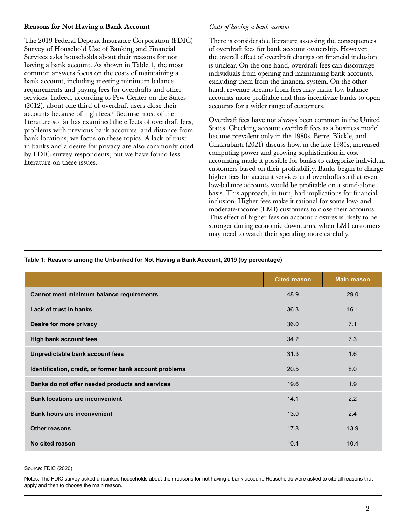### Reasons for Not Having a Bank Account

The 2019 Federal Deposit Insurance Corporation (FDIC) Survey of Household Use of Banking and Financial Services asks households about their reasons for not having a bank account. As shown in Table 1, the most common answers focus on the costs of maintaining a bank account, including meeting minimum balance requirements and paying fees for overdrafts and other services. Indeed, according to Pew Center on the States (2012), about one-third of overdraft users close their accounts because of high fees.3 Because most of the literature so far has examined the effects of overdraft fees, problems with previous bank accounts, and distance from bank locations, we focus on these topics. A lack of trust in banks and a desire for privacy are also commonly cited by FDIC survey respondents, but we have found less literature on these issues.

### *Costs of having a bank account*

There is considerable literature assessing the consequences of overdraft fees for bank account ownership. However, the overall effect of overdraft charges on financial inclusion is unclear. On the one hand, overdraft fees can discourage individuals from opening and maintaining bank accounts, excluding them from the financial system. On the other hand, revenue streams from fees may make low-balance accounts more profitable and thus incentivize banks to open accounts for a wider range of customers.

Overdraft fees have not always been common in the United States. Checking account overdraft fees as a business model became prevalent only in the 1980s. Berre, Blickle, and Chakrabarti (2021) discuss how, in the late 1980s, increased computing power and growing sophistication in cost accounting made it possible for banks to categorize individual customers based on their profitability. Banks began to charge higher fees for account services and overdrafts so that even low-balance accounts would be profitable on a stand-alone basis. This approach, in turn, had implications for financial inclusion. Higher fees make it rational for some low- and moderate-income (LMI) customers to close their accounts. This effect of higher fees on account closures is likely to be stronger during economic downturns, when LMI customers may need to watch their spending more carefully.

### **Table 1: Reasons among the Unbanked for Not Having a Bank Account, 2019 (by percentage)**

|                                                         | <b>Cited reason</b> | <b>Main reason</b> |
|---------------------------------------------------------|---------------------|--------------------|
| Cannot meet minimum balance requirements                | 48.9                | 29.0               |
| Lack of trust in banks                                  | 36.3                | 16.1               |
| Desire for more privacy                                 | 36.0                | 7.1                |
| <b>High bank account fees</b>                           | 34.2                | 7.3                |
| Unpredictable bank account fees                         | 31.3                | 1.6                |
| Identification, credit, or former bank account problems | 20.5                | 8.0                |
| Banks do not offer needed products and services         | 19.6                | 1.9                |
| <b>Bank locations are inconvenient</b>                  | 14.1                | 2.2                |
| <b>Bank hours are inconvenient</b>                      | 13.0                | 2.4                |
| <b>Other reasons</b>                                    | 17.8                | 13.9               |
| No cited reason                                         | 10.4                | 10.4               |

#### Source: FDIC (2020)

Notes: The FDIC survey asked unbanked households about their reasons for not having a bank account. Households were asked to cite all reasons that apply and then to choose the main reason.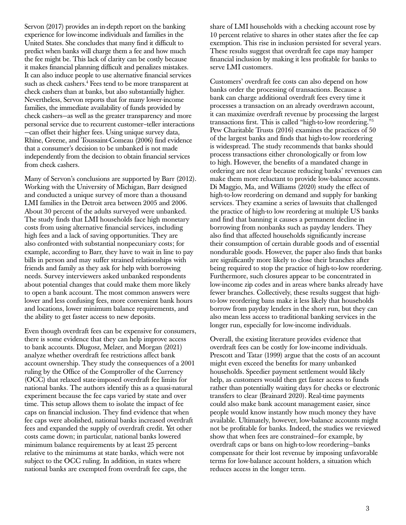Servon (2017) provides an in-depth report on the banking experience for low-income individuals and families in the United States. She concludes that many find it difficult to predict when banks will charge them a fee and how much the fee might be. This lack of clarity can be costly because it makes financial planning difficult and penalizes mistakes. It can also induce people to use alternative financial services such as check cashers.<sup>4</sup> Fees tend to be more transparent at check cashers than at banks, but also substantially higher. Nevertheless, Servon reports that for many lower-income families, the immediate availability of funds provided by check cashers—as well as the greater transparency and more personal service due to recurrent customer–teller interactions —can offset their higher fees. Using unique survey data, Rhine, Greene, and Toussaint-Comeau (2006) find evidence that a consumer's decision to be unbanked is not made independently from the decision to obtain financial services from check cashers.

Many of Servon's conclusions are supported by Barr (2012). Working with the University of Michigan, Barr designed and conducted a unique survey of more than a thousand LMI families in the Detroit area between 2005 and 2006. About 30 percent of the adults surveyed were unbanked. The study finds that LMI households face high monetary costs from using alternative financial services, including high fees and a lack of saving opportunities. They are also confronted with substantial nonpecuniary costs; for example, according to Barr, they have to wait in line to pay bills in person and may suffer strained relationships with friends and family as they ask for help with borrowing needs. Survey interviewers asked unbanked respondents about potential changes that could make them more likely to open a bank account. The most common answers were lower and less confusing fees, more convenient bank hours and locations, lower minimum balance requirements, and the ability to get faster access to new deposits.

Even though overdraft fees can be expensive for consumers, there is some evidence that they can help improve access to bank accounts. Dlugosz, Melzer, and Morgan (2021) analyze whether overdraft fee restrictions affect bank account ownership. They study the consequences of a 2001 ruling by the Office of the Comptroller of the Currency (OCC) that relaxed state-imposed overdraft fee limits for national banks. The authors identify this as a quasi-natural experiment because the fee caps varied by state and over time. This setup allows them to isolate the impact of fee caps on financial inclusion. They find evidence that when fee caps were abolished, national banks increased overdraft fees and expanded the supply of overdraft credit. Yet other costs came down; in particular, national banks lowered minimum balance requirements by at least 25 percent relative to the minimums at state banks, which were not subject to the OCC ruling. In addition, in states where national banks are exempted from overdraft fee caps, the

share of LMI households with a checking account rose by 10 percent relative to shares in other states after the fee cap exemption. This rise in inclusion persisted for several years. These results suggest that overdraft fee caps may hamper financial inclusion by making it less profitable for banks to serve LMI customers.

Customers' overdraft fee costs can also depend on how banks order the processing of transactions. Because a bank can charge additional overdraft fees every time it processes a transaction on an already overdrawn account, it can maximize overdraft revenue by processing the largest transactions first. This is called "high-to-low reordering."5 Pew Charitable Trusts (2016) examines the practices of 50 of the largest banks and finds that high-to-low reordering is widespread. The study recommends that banks should process transactions either chronologically or from low to high. However, the benefits of a mandated change in ordering are not clear because reducing banks' revenues can make them more reluctant to provide low-balance accounts. Di Maggio, Ma, and Williams (2020) study the effect of high-to-low reordering on demand and supply for banking services. They examine a series of lawsuits that challenged the practice of high-to low reordering at multiple US banks and find that banning it causes a permanent decline in borrowing from nonbanks such as payday lenders. They also find that affected households significantly increase their consumption of certain durable goods and of essential nondurable goods. However, the paper also finds that banks are significantly more likely to close their branches after being required to stop the practice of high-to-low reordering. Furthermore, such closures appear to be concentrated in low-income zip codes and in areas where banks already have fewer branches. Collectively, these results suggest that highto-low reordering bans make it less likely that households borrow from payday lenders in the short run, but they can also mean less access to traditional banking services in the longer run, especially for low-income individuals.

Overall, the existing literature provides evidence that overdraft fees can be costly for low-income individuals. Prescott and Tatar (1999) argue that the costs of an account might even exceed the benefits for many unbanked households. Speedier payment settlement would likely help, as customers would then get faster access to funds rather than potentially waiting days for checks or electronic transfers to clear (Brainard 2020). Real-time payments could also make bank account management easier, since people would know instantly how much money they have available. Ultimately, however, low-balance accounts might not be profitable for banks. Indeed, the studies we reviewed show that when fees are constrained—for example, by overdraft caps or bans on high-to-low reordering—banks compensate for their lost revenue by imposing unfavorable terms for low-balance account holders, a situation which reduces access in the longer term.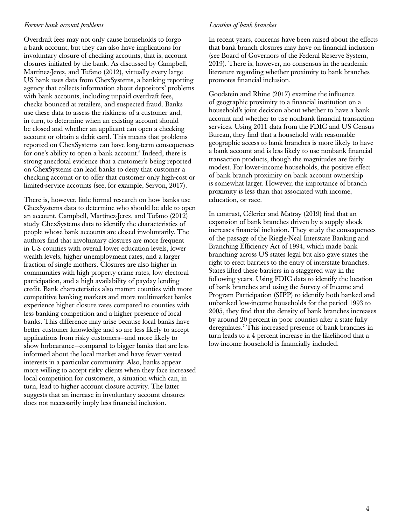### *Former bank account problems*

Overdraft fees may not only cause households to forgo a bank account, but they can also have implications for involuntary closure of checking accounts, that is, account closures initiated by the bank. As discussed by Campbell, Martínez-Jerez, and Tufano (2012), virtually every large US bank uses data from ChexSystems, a banking reporting agency that collects information about depositors' problems with bank accounts, including unpaid overdraft fees, checks bounced at retailers, and suspected fraud. Banks use these data to assess the riskiness of a customer and, in turn, to determine when an existing account should be closed and whether an applicant can open a checking account or obtain a debit card. This means that problems reported on ChexSystems can have long-term consequences for one's ability to open a bank account.<sup>6</sup> Indeed, there is strong anecdotal evidence that a customer's being reported on ChexSystems can lead banks to deny that customer a checking account or to offer that customer only high-cost or limited-service accounts (see, for example, Servon, 2017).

There is, however, little formal research on how banks use ChexSystems data to determine who should be able to open an account. Campbell, Martínez-Jerez, and Tufano (2012) study ChexSystems data to identify the characteristics of people whose bank accounts are closed involuntarily. The authors find that involuntary closures are more frequent in US counties with overall lower education levels, lower wealth levels, higher unemployment rates, and a larger fraction of single mothers. Closures are also higher in communities with high property-crime rates, low electoral participation, and a high availability of payday lending credit. Bank characteristics also matter: counties with more competitive banking markets and more multimarket banks experience higher closure rates compared to counties with less banking competition and a higher presence of local banks. This difference may arise because local banks have better customer knowledge and so are less likely to accept applications from risky customers—and more likely to show forbearance—compared to bigger banks that are less informed about the local market and have fewer vested interests in a particular community. Also, banks appear more willing to accept risky clients when they face increased local competition for customers, a situation which can, in turn, lead to higher account closure activity. The latter suggests that an increase in involuntary account closures does not necessarily imply less financial inclusion.

# *Location of bank branches*

In recent years, concerns have been raised about the effects that bank branch closures may have on financial inclusion (see Board of Governors of the Federal Reserve System, 2019). There is, however, no consensus in the academic literature regarding whether proximity to bank branches promotes financial inclusion.

Goodstein and Rhine (2017) examine the influence of geographic proximity to a financial institution on a household's joint decision about whether to have a bank account and whether to use nonbank financial transaction services. Using 2011 data from the FDIC and US Census Bureau, they find that a household with reasonable geographic access to bank branches is more likely to have a bank account and is less likely to use nonbank financial transaction products, though the magnitudes are fairly modest. For lower-income households, the positive effect of bank branch proximity on bank account ownership is somewhat larger. However, the importance of branch proximity is less than that associated with income, education, or race.

In contrast, Célerier and Matray (2019) find that an expansion of bank branches driven by a supply shock increases financial inclusion. They study the consequences of the passage of the Riegle-Neal Interstate Banking and Branching Efficiency Act of 1994, which made bank branching across US states legal but also gave states the right to erect barriers to the entry of interstate branches. States lifted these barriers in a staggered way in the following years. Using FDIC data to identify the location of bank branches and using the Survey of Income and Program Participation (SIPP) to identify both banked and unbanked low-income households for the period 1993 to 2005, they find that the density of bank branches increases by around 20 percent in poor counties after a state fully deregulates.7 This increased presence of bank branches in turn leads to a 4 percent increase in the likelihood that a low-income household is financially included.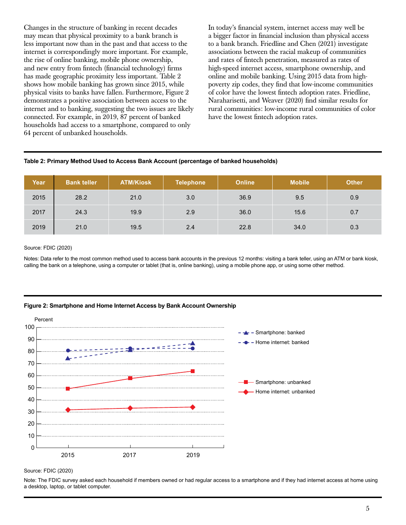Changes in the structure of banking in recent decades may mean that physical proximity to a bank branch is less important now than in the past and that access to the internet is correspondingly more important. For example, the rise of online banking, mobile phone ownership, and new entry from fintech (financial technology) firms has made geographic proximity less important. Table 2 shows how mobile banking has grown since 2015, while physical visits to banks have fallen. Furthermore, Figure 2 demonstrates a positive association between access to the internet and to banking, suggesting the two issues are likely connected. For example, in 2019, 87 percent of banked households had access to a smartphone, compared to only 64 percent of unbanked households.

In today's financial system, internet access may well be a bigger factor in financial inclusion than physical access to a bank branch. Friedline and Chen (2021) investigate associations between the racial makeup of communities and rates of fintech penetration, measured as rates of high-speed internet access, smartphone ownership, and online and mobile banking. Using 2015 data from highpoverty zip codes, they find that low-income communities of color have the lowest fintech adoption rates. Friedline, Naraharisetti, and Weaver (2020) find similar results for rural communities: low-income rural communities of color have the lowest fintech adoption rates.

### **Table 2: Primary Method Used to Access Bank Account (percentage of banked households)**

| Year | <b>Bank teller</b> | <b>ATM/Kiosk</b> | <b>Telephone</b> | <b>Online</b> | <b>Mobile</b> | <b>Other</b> |
|------|--------------------|------------------|------------------|---------------|---------------|--------------|
| 2015 | 28.2               | 21.0             | 3.0              | 36.9          | 9.5           | 0.9          |
| 2017 | 24.3               | 19.9             | 2.9              | 36.0          | 15.6          | 0.7          |
| 2019 | 21.0               | 19.5             | 2.4              | 22.8          | 34.0          | 0.3          |

#### Source: FDIC (2020)

Notes: Data refer to the most common method used to access bank accounts in the previous 12 months: visiting a bank teller, using an ATM or bank kiosk, calling the bank on a telephone, using a computer or tablet (that is, online banking), using a mobile phone app, or using some other method.

#### **Figure 2: Smartphone and Home Internet Access by Bank Account Ownership**



Source: FDIC (2020)

Note: The FDIC survey asked each household if members owned or had regular access to a smartphone and if they had internet access at home using a desktop, laptop, or tablet computer.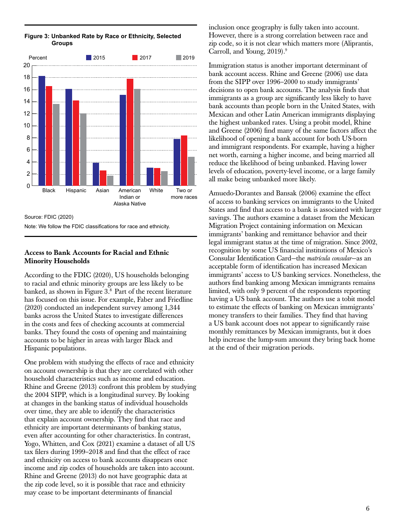

**Figure 3: Unbanked Rate by Race or Ethnicity, Selected Groups**

Source: FDIC (2020) Note: We follow the FDIC classifications for race and ethnicity.

### Access to Bank Accounts for Racial and Ethnic Minority Households

According to the FDIC (2020), US households belonging to racial and ethnic minority groups are less likely to be banked, as shown in Figure 3.<sup>8</sup> Part of the recent literature has focused on this issue. For example, Faber and Friedline (2020) conducted an independent survey among 1,344 banks across the United States to investigate differences in the costs and fees of checking accounts at commercial banks. They found the costs of opening and maintaining accounts to be higher in areas with larger Black and Hispanic populations.

One problem with studying the effects of race and ethnicity on account ownership is that they are correlated with other household characteristics such as income and education. Rhine and Greene (2013) confront this problem by studying the 2004 SIPP, which is a longitudinal survey. By looking at changes in the banking status of individual households over time, they are able to identify the characteristics that explain account ownership. They find that race and ethnicity are important determinants of banking status, even after accounting for other characteristics. In contrast, Yogo, Whitten, and Cox (2021) examine a dataset of all US tax filers during 1999–2018 and find that the effect of race and ethnicity on access to bank accounts disappears once income and zip codes of households are taken into account. Rhine and Greene (2013) do not have geographic data at the zip code level, so it is possible that race and ethnicity may cease to be important determinants of financial

inclusion once geography is fully taken into account. However, there is a strong correlation between race and zip code, so it is not clear which matters more (Aliprantis, Carroll, and Young, 2019).9

Immigration status is another important determinant of bank account access. Rhine and Greene (2006) use data from the SIPP over 1996–2000 to study immigrants' decisions to open bank accounts. The analysis finds that immigrants as a group are significantly less likely to have bank accounts than people born in the United States, with Mexican and other Latin American immigrants displaying the highest unbanked rates. Using a probit model, Rhine and Greene (2006) find many of the same factors affect the likelihood of opening a bank account for both US-born and immigrant respondents. For example, having a higher net worth, earning a higher income, and being married all reduce the likelihood of being unbanked. Having lower levels of education, poverty-level income, or a large family all make being unbanked more likely.

Amuedo-Dorantes and Bansak (2006) examine the effect of access to banking services on immigrants to the United States and find that access to a bank is associated with larger savings. The authors examine a dataset from the Mexican Migration Project containing information on Mexican immigrants' banking and remittance behavior and their legal immigrant status at the time of migration. Since 2002, recognition by some US financial institutions of Mexico's Consular Identification Card—the *matrícula consular*—as an acceptable form of identification has increased Mexican immigrants' access to US banking services. Nonetheless, the authors find banking among Mexican immigrants remains limited, with only 9 percent of the respondents reporting having a US bank account. The authors use a tobit model to estimate the effects of banking on Mexican immigrants' money transfers to their families. They find that having a US bank account does not appear to significantly raise monthly remittances by Mexican immigrants, but it does help increase the lump-sum amount they bring back home at the end of their migration periods.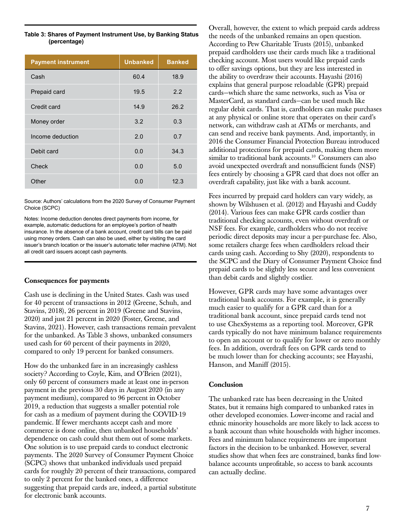#### **Table 3: Shares of Payment Instrument Use, by Banking Status (percentage)**

| <b>Payment instrument</b> | <b>Unbanked</b> | <b>Banked</b> |
|---------------------------|-----------------|---------------|
| Cash                      | 60.4            | 18.9          |
| Prepaid card              | 19.5            | 2.2           |
| Credit card               | 14.9            | 26.2          |
| Money order               | 3.2             | 0.3           |
| Income deduction          | 2.0             | 0.7           |
| Debit card                | 0.0             | 34.3          |
| Check                     | 0.0             | 5.0           |
| Other                     | 0.0             | 12.3          |

Source: Authors' calculations from the 2020 Survey of Consumer Payment Choice (SCPC)

Notes: Income deduction denotes direct payments from income, for example, automatic deductions for an employee's portion of health insurance. In the absence of a bank account, credit card bills can be paid using money orders. Cash can also be used, either by visiting the card issuer's branch location or the issuer's automatic teller machine (ATM). Not all credit card issuers accept cash payments.

### Consequences for payments

Cash use is declining in the United States. Cash was used for 40 percent of transactions in 2012 (Greene, Schuh, and Stavins, 2018), 26 percent in 2019 (Greene and Stavins, 2020) and just 21 percent in 2020 (Foster, Greene, and Stavins, 2021). However, cash transactions remain prevalent for the unbanked. As Table 3 shows, unbanked consumers used cash for 60 percent of their payments in 2020, compared to only 19 percent for banked consumers.

How do the unbanked fare in an increasingly cashless society? According to Coyle, Kim, and O'Brien (2021), only 60 percent of consumers made at least one in-person payment in the previous 30 days in August 2020 (in any payment medium), compared to 96 percent in October 2019, a reduction that suggests a smaller potential role for cash as a medium of payment during the COVID-19 pandemic. If fewer merchants accept cash and more commerce is done online, then unbanked households' dependence on cash could shut them out of some markets. One solution is to use prepaid cards to conduct electronic payments. The 2020 Survey of Consumer Payment Choice (SCPC) shows that unbanked individuals used prepaid cards for roughly 20 percent of their transactions, compared to only 2 percent for the banked ones, a difference suggesting that prepaid cards are, indeed, a partial substitute for electronic bank accounts.

Overall, however, the extent to which prepaid cards address the needs of the unbanked remains an open question. According to Pew Charitable Trusts (2015), unbanked prepaid cardholders use their cards much like a traditional checking account. Most users would like prepaid cards to offer savings options, but they are less interested in the ability to overdraw their accounts. Hayashi (2016) explains that general purpose reloadable (GPR) prepaid cards—which share the same networks, such as Visa or MasterCard, as standard cards—can be used much like regular debit cards. That is, cardholders can make purchases at any physical or online store that operates on their card's network, can withdraw cash at ATMs or merchants, and can send and receive bank payments. And, importantly, in 2016 the Consumer Financial Protection Bureau introduced additional protections for prepaid cards, making them more similar to traditional bank accounts.<sup>10</sup> Consumers can also avoid unexpected overdraft and nonsufficient funds (NSF) fees entirely by choosing a GPR card that does not offer an overdraft capability, just like with a bank account.

Fees incurred by prepaid card holders can vary widely, as shown by Wilshusen et al. (2012) and Hayashi and Cuddy (2014). Various fees can make GPR cards costlier than traditional checking accounts, even without overdraft or NSF fees. For example, cardholders who do not receive periodic direct deposits may incur a per-purchase fee. Also, some retailers charge fees when cardholders reload their cards using cash. According to Shy (2020), respondents to the SCPC and the Diary of Consumer Payment Choice find prepaid cards to be slightly less secure and less convenient than debit cards and slightly costlier.

However, GPR cards may have some advantages over traditional bank accounts. For example, it is generally much easier to qualify for a GPR card than for a traditional bank account, since prepaid cards tend not to use ChexSystems as a reporting tool. Moreover, GPR cards typically do not have minimum balance requirements to open an account or to qualify for lower or zero monthly fees. In addition, overdraft fees on GPR cards tend to be much lower than for checking accounts; see Hayashi, Hanson, and Maniff (2015).

### Conclusion

The unbanked rate has been decreasing in the United States, but it remains high compared to unbanked rates in other developed economies. Lower-income and racial and ethnic minority households are more likely to lack access to a bank account than white households with higher incomes. Fees and minimum balance requirements are important factors in the decision to be unbanked. However, several studies show that when fees are constrained, banks find lowbalance accounts unprofitable, so access to bank accounts can actually decline.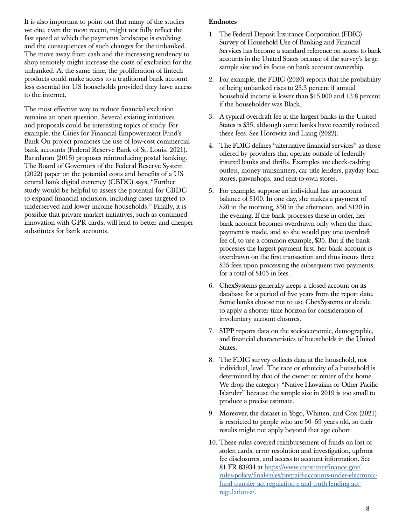It is also important to point out that many of the studies we cite, even the most recent, might not fully reflect the fast speed at which the payments landscape is evolving and the consequences of such changes for the unbanked. The move away from cash and the increasing tendency to shop remotely might increase the costs of exclusion for the unbanked. At the same time, the proliferation of fintech products could make access to a traditional bank account less essential for US households provided they have access to the internet.

The most effective way to reduce financial exclusion remains an open question. Several existing initiatives and proposals could be interesting topics of study. For example, the Cities for Financial Empowerment Fund's Bank On project promotes the use of low-cost commercial bank accounts (Federal Reserve Bank of St. Louis, 2021). Baradaran (2015) proposes reintroducing postal banking. The Board of Governors of the Federal Reserve System (2022) paper on the potential costs and benefits of a US central bank digital currency (CBDC) says, "Further study would be helpful to assess the potential for CBDC to expand financial inclusion, including cases targeted to underserved and lower income households." Finally, it is possible that private market initiatives, such as continued innovation with GPR cards, will lead to better and cheaper substitutes for bank accounts.

### Endnotes

- 1. The Federal Deposit Insurance Corporation (FDIC) Survey of Household Use of Banking and Financial Services has become a standard reference on access to bank accounts in the United States because of the survey's large sample size and its focus on bank account ownership.
- 2. For example, the FDIC (2020) reports that the probability of being unbanked rises to 23.3 percent if annual household income is lower than \$15,000 and 13.8 percent if the householder was Black.
- 3. A typical overdraft fee at the largest banks in the United States is \$35, although some banks have recently reduced these fees. See Horowitz and Liang (2022).
- 4. The FDIC defines "alternative financial services" as those offered by providers that operate outside of federally insured banks and thrifts. Examples are check-cashing outlets, money transmitters, car title lenders, payday loan stores, pawnshops, and rent-to-own stores.
- 5. For example, suppose an individual has an account balance of \$100. In one day, she makes a payment of \$20 in the morning, \$50 in the afternoon, and \$120 in the evening. If the bank processes these in order, her bank account becomes overdrawn only when the third payment is made, and so she would pay one overdraft fee of, to use a common example, \$35. But if the bank processes the largest payment first, her bank account is overdrawn on the first transaction and thus incurs three \$35 fees upon processing the subsequent two payments, for a total of \$105 in fees.
- 6. ChexSystems generally keeps a closed account on its database for a period of five years from the report date. Some banks choose not to use ChexSystems or decide to apply a shorter time horizon for consideration of involuntary account closures.
- 7. SIPP reports data on the socioeconomic, demographic, and financial characteristics of households in the United States.
- 8. The FDIC survey collects data at the household, not individual, level. The race or ethnicity of a household is determined by that of the owner or renter of the home. We drop the category "Native Hawaiian or Other Pacific Islander" because the sample size in 2019 is too small to produce a precise estimate.
- 9. Moreover, the dataset in Yogo, Whitten, and Cox (2021) is restricted to people who are 50–59 years old, so their results might not apply beyond that age cohort.
- 10. These rules covered reimbursement of funds on lost or stolen cards, error resolution and investigation, upfront fee disclosures, and access to account information. See 81 FR 83934 at [https://www.consumerfinance.gov/](https://www.consumerfinance.gov/rules-policy/final-rules/prepaid-accounts-under-electronic-fund-transfer-act-regulation-e-and-truth-lending-act-regulation-z/) [rules-policy/final-rules/prepaid-accounts-under-electronic](https://www.consumerfinance.gov/rules-policy/final-rules/prepaid-accounts-under-electronic-fund-transfer-act-regulation-e-and-truth-lending-act-regulation-z/)[fund-transfer-act-regulation-e-and-truth-lending-act](https://www.consumerfinance.gov/rules-policy/final-rules/prepaid-accounts-under-electronic-fund-transfer-act-regulation-e-and-truth-lending-act-regulation-z/)[regulation-z/.](https://www.consumerfinance.gov/rules-policy/final-rules/prepaid-accounts-under-electronic-fund-transfer-act-regulation-e-and-truth-lending-act-regulation-z/)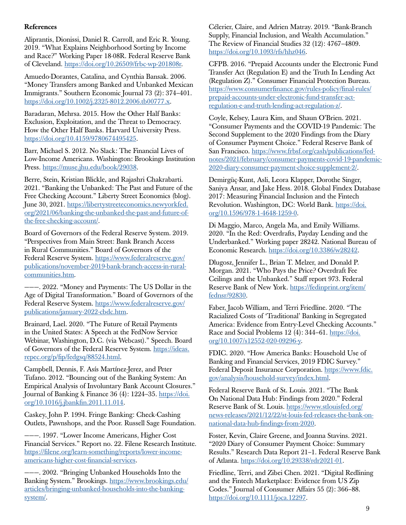# References

Aliprantis, Dionissi, Daniel R. Carroll, and Eric R. Young. 2019. "What Explains Neighborhood Sorting by Income and Race?" Working Paper 18-08R. Federal Reserve Bank of Cleveland.<https://doi.org/10.26509/frbc-wp-201808r>.

Amuedo-Dorantes, Catalina, and Cynthia Bansak. 2006. "Money Transfers among Banked and Unbanked Mexican Immigrants." Southern Economic Journal 73 (2): 374–401. <https://doi.org/10.1002/j.2325-8012.2006.tb00777.x>.

Baradaran, Mehrsa. 2015. How the Other Half Banks: Exclusion, Exploitation, and the Threat to Democracy. How the Other Half Banks. Harvard University Press. [https://doi.org/10.4159/9780674495425.](https://doi.org/10.4159/9780674495425)

Barr, Michael S. 2012. No Slack: The Financial Lives of Low-Income Americans. Washington: Brookings Institution Press.<https://muse.jhu.edu/book/29038>.

Berre, Stein, Kristian Blickle, and Rajashri Chakrabarti. 2021. "Banking the Unbanked: The Past and Future of the Free Checking Account." Liberty Street Economics (blog). June 30, 2021. [https://libertystreeteconomics.newyorkfed.](https://libertystreeteconomics.newyorkfed.org/2021/06/banking-the-unbanked-the-past-and-future-of-the-free-checking-account/) [org/2021/06/banking-the-unbanked-the-past-and-future-of](https://libertystreeteconomics.newyorkfed.org/2021/06/banking-the-unbanked-the-past-and-future-of-the-free-checking-account/)[the-free-checking-account/](https://libertystreeteconomics.newyorkfed.org/2021/06/banking-the-unbanked-the-past-and-future-of-the-free-checking-account/).

Board of Governors of the Federal Reserve System. 2019. "Perspectives from Main Street: Bank Branch Access in Rural Communities." Board of Governors of the Federal Reserve System. [https://www.federalreserve.gov/](https://www.federalreserve.gov/publications/november-2019-bank-branch-access-in-rural-communities.htm) [publications/november-2019-bank-branch-access-in-rural](https://www.federalreserve.gov/publications/november-2019-bank-branch-access-in-rural-communities.htm)[communities.htm.](https://www.federalreserve.gov/publications/november-2019-bank-branch-access-in-rural-communities.htm)

———. 2022. "Money and Payments: The US Dollar in the Age of Digital Transformation." Board of Governors of the Federal Reserve System. [https://www.federalreserve.gov/](https://www.federalreserve.gov/publications/january-2022-cbdc.htm) [publications/january-2022-cbdc.htm.](https://www.federalreserve.gov/publications/january-2022-cbdc.htm)

Brainard, Lael. 2020. "The Future of Retail Payments in the United States: A Speech at the FedNow Service Webinar, Washington, D.C. (via Webcast)." Speech. Board of Governors of the Federal Reserve System. [https://ideas.](https://ideas.repec.org/p/fip/fedgsq/88524.html) [repec.org/p/fip/fedgsq/88524.html.](https://ideas.repec.org/p/fip/fedgsq/88524.html)

Campbell, Dennis, F. Asís Martínez-Jerez, and Peter Tufano. 2012. "Bouncing out of the Banking System: An Empirical Analysis of Involuntary Bank Account Closures." Journal of Banking & Finance 36 (4): 1224–35. [https://doi.](https://doi.org/10.1016/j.jbankfin.2011.11.014) [org/10.1016/j.jbankfin.2011.11.014](https://doi.org/10.1016/j.jbankfin.2011.11.014).

Caskey, John P. 1994. Fringe Banking: Check-Cashing Outlets, Pawnshops, and the Poor. Russell Sage Foundation.

———. 1997. "Lower Income Americans, Higher Cost Financial Services." Report no. 22. Filene Research Institute. [https://filene.org/learn-something/reports/lower-income](https://filene.org/learn-something/reports/lower-income-americans-higher-cost-financial-services)[americans-higher-cost-financial-services](https://filene.org/learn-something/reports/lower-income-americans-higher-cost-financial-services).

———. 2002. "Bringing Unbanked Households Into the Banking System." Brookings. [https://www.brookings.edu/](https://www.brookings.edu/articles/bringing-unbanked-households-into-the-banking-system/) [articles/bringing-unbanked-households-into-the-banking](https://www.brookings.edu/articles/bringing-unbanked-households-into-the-banking-system/)[system/](https://www.brookings.edu/articles/bringing-unbanked-households-into-the-banking-system/).

Célerier, Claire, and Adrien Matray. 2019. "Bank-Branch Supply, Financial Inclusion, and Wealth Accumulation." The Review of Financial Studies 32 (12): 4767–4809. [https://doi.org/10.1093/rfs/hhz046.](https://doi.org/10.1093/rfs/hhz046)

CFPB. 2016. "Prepaid Accounts under the Electronic Fund Transfer Act (Regulation E) and the Truth In Lending Act (Regulation Z)." Consumer Financial Protection Bureau. [https://www.consumerfinance.gov/rules-policy/final-rules/](https://www.consumerfinance.gov/rules-policy/final-rules/prepaid-accounts-under-electronic-fund-transfer-act-regulation-e-and-truth-lending-act-regulation-z/) [prepaid-accounts-under-electronic-fund-transfer-act](https://www.consumerfinance.gov/rules-policy/final-rules/prepaid-accounts-under-electronic-fund-transfer-act-regulation-e-and-truth-lending-act-regulation-z/)[regulation-e-and-truth-lending-act-regulation-z/](https://www.consumerfinance.gov/rules-policy/final-rules/prepaid-accounts-under-electronic-fund-transfer-act-regulation-e-and-truth-lending-act-regulation-z/).

Coyle, Kelsey, Laura Kim, and Shaun O'Brien. 2021. "Consumer Payments and the COVID-19 Pandemic: The Second Supplement to the 2020 Findings from the Diary of Consumer Payment Choice." Federal Reserve Bank of San Francisco. [https://www.frbsf.org/cash/publications/fed](https://www.frbsf.org/cash/publications/fed-notes/2021/february/consumer-payments-covid-19-pandemic-2020-diary-consumer-payment-choice-supplement-2/)[notes/2021/february/consumer-payments-covid-19-pandemic-](https://www.frbsf.org/cash/publications/fed-notes/2021/february/consumer-payments-covid-19-pandemic-2020-diary-consumer-payment-choice-supplement-2/)[2020-diary-consumer-payment-choice-supplement-2/.](https://www.frbsf.org/cash/publications/fed-notes/2021/february/consumer-payments-covid-19-pandemic-2020-diary-consumer-payment-choice-supplement-2/)

Demirgüç-Kunt, Asli, Leora Klapper, Dorothe Singer, Saniya Ansar, and Jake Hess. 2018. Global Findex Database 2017: Measuring Financial Inclusion and the Fintech Revolution. Washington, DC: World Bank. [https://doi.](https://doi.org/10.1596/978-1-4648-1259-0) [org/10.1596/978-1-4648-1259-0](https://doi.org/10.1596/978-1-4648-1259-0).

Di Maggio, Marco, Angela Ma, and Emily Williams. 2020. "In the Red: Overdrafts, Payday Lending and the Underbanked." Working paper 28242. National Bureau of Economic Research.<https://doi.org/10.3386/w28242>.

Dlugosz, Jennifer L., Brian T. Melzer, and Donald P. Morgan. 2021. "Who Pays the Price? Overdraft Fee Ceilings and the Unbanked." Staff report 973. Federal Reserve Bank of New York. [https://fedinprint.org/item/](https://fedinprint.org/item/fednsr/92830) [fednsr/92830](https://fedinprint.org/item/fednsr/92830).

Faber, Jacob William, and Terri Friedline. 2020. "The Racialized Costs of 'Traditional' Banking in Segregated America: Evidence from Entry-Level Checking Accounts." Race and Social Problems 12 (4): 344–61. [https://doi.](https://doi.org/10.1007/s12552-020-09296-y) [org/10.1007/s12552-020-09296-y.](https://doi.org/10.1007/s12552-020-09296-y)

FDIC. 2020. "How America Banks: Household Use of Banking and Financial Services, 2019 FDIC Survey." Federal Deposit Insurance Corporation. [https://www.fdic.](https://www.fdic.gov/analysis/household-survey/index.html) [gov/analysis/household-survey/index.html.](https://www.fdic.gov/analysis/household-survey/index.html)

Federal Reserve Bank of St. Louis. 2021. "The Bank On National Data Hub: Findings from 2020." Federal Reserve Bank of St. Louis. [https://www.stlouisfed.org/](https://www.stlouisfed.org/news-releases/2021/12/22/st-louis-fed-releases-the-bank-on-national-data-hub-findings-from-2020) [news-releases/2021/12/22/st-louis-fed-releases-the-bank-on](https://www.stlouisfed.org/news-releases/2021/12/22/st-louis-fed-releases-the-bank-on-national-data-hub-findings-from-2020)[national-data-hub-findings-from-2020](https://www.stlouisfed.org/news-releases/2021/12/22/st-louis-fed-releases-the-bank-on-national-data-hub-findings-from-2020).

Foster, Kevin, Claire Greene, and Joanna Stavins. 2021. "2020 Diary of Consumer Payment Choice: Summary Results." Research Data Report 21–1. Federal Reserve Bank of Atlanta. [https://doi.org/10.29338/rdr2021-01.](https://doi.org/10.29338/rdr2021-01)

Friedline, Terri, and Zibei Chen. 2021. "Digital Redlining and the Fintech Marketplace: Evidence from US Zip Codes." Journal of Consumer Affairs 55 (2): 366–88. [https://doi.org/10.1111/joca.12297.](https://doi.org/10.1111/joca.12297)